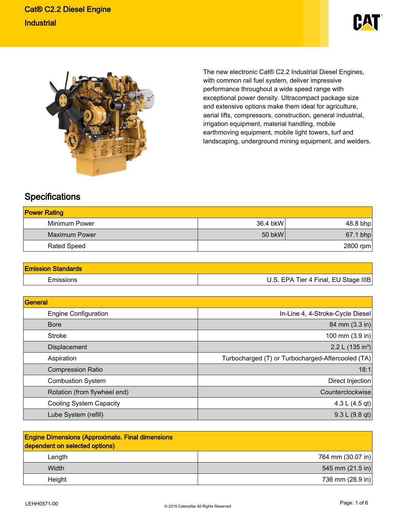



The new electronic Cat® C2.2 Industrial Diesel Engines, with common rail fuel system, deliver impressive performance throughout a wide speed range with exceptional power density. Ultracompact package size and extensive options make them ideal for agriculture, aerial lifts, compressors, construction, general industrial, irrigation equipment, material handling, mobile earthmoving equipment, mobile light towers, turf and landscaping, underground mining equipment, and welders.

## **Specifications**

| <b>Power Rating</b>  |           |            |
|----------------------|-----------|------------|
| Minimum Power        | 36.4 bkWl | 48.8 bhp   |
| <b>Maximum Power</b> | 50 bkW    | $67.1$ bhp |
| Rated Speed          |           | 2800 rpm   |

| <b>Emission Standards</b> |                                      |
|---------------------------|--------------------------------------|
| Emissions                 | U.S. EPA Tier 4 Final, EU Stage IIIB |

| General                        |                                                   |
|--------------------------------|---------------------------------------------------|
| <b>Engine Configuration</b>    | In-Line 4, 4-Stroke-Cycle Diesel                  |
| <b>Bore</b>                    | 84 mm (3.3 in)                                    |
| <b>Stroke</b>                  | 100 mm (3.9 in)                                   |
| Displacement                   | 2.2 L (135 in <sup>3</sup> )                      |
| Aspiration                     | Turbocharged (T) or Turbocharged-Aftercooled (TA) |
| <b>Compression Ratio</b>       | 18:1                                              |
| <b>Combustion System</b>       | Direct Injection                                  |
| Rotation (from flywheel end)   | Counterclockwise                                  |
| <b>Cooling System Capacity</b> | 4.3 L $(4.5$ qt)                                  |
| Lube System (refill)           | 9.3 L (9.8 qt)                                    |

| <b>Engine Dimensions (Approximate. Final dimensions</b><br>dependent on selected options) |                            |
|-------------------------------------------------------------------------------------------|----------------------------|
| Length                                                                                    | 764 mm (30.07 in)          |
| Width                                                                                     | 545 mm $(21.5 \text{ in})$ |
| Height                                                                                    | 736 mm $(28.9 \text{ in})$ |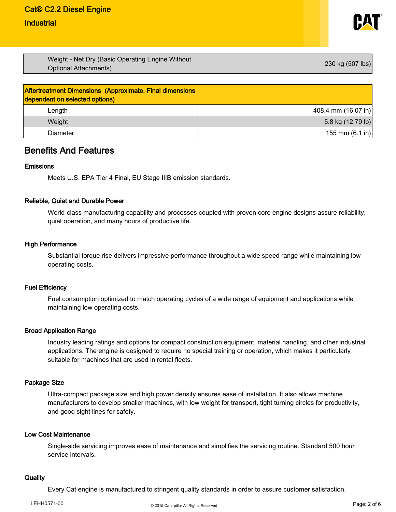# Cat® C2.2 Diesel Engine

## **Industrial**



| Weight - Net Dry (Basic Operating Engine Without<br>Optional Attachments) | 230 kg (507 lbs) |
|---------------------------------------------------------------------------|------------------|
|                                                                           |                  |

| <b>Aftertreatment Dimensions (Approximate. Final dimensions</b><br>dependent on selected options) |                           |
|---------------------------------------------------------------------------------------------------|---------------------------|
| Length                                                                                            | 408.4 mm (16.07 in)       |
| Weight                                                                                            | 5.8 kg (12.79 lb)         |
| <b>Diameter</b>                                                                                   | 155 mm $(6.1 \text{ in})$ |

## Benefits And Features

#### Emissions

Meets U.S. EPA Tier 4 Final, EU Stage IIIB emission standards.

### Reliable, Quiet and Durable Power

World-class manufacturing capability and processes coupled with proven core engine designs assure reliability, quiet operation, and many hours of productive life.

#### High Performance

Substantial torque rise delivers impressive performance throughout a wide speed range while maintaining low operating costs.

#### Fuel Efficiency

Fuel consumption optimized to match operating cycles of a wide range of equipment and applications while maintaining low operating costs.

### Broad Application Range

Industry leading ratings and options for compact construction equipment, material handling, and other industrial applications. The engine is designed to require no special training or operation, which makes it particularly suitable for machines that are used in rental fleets.

### Package Size

Ultra-compact package size and high power density ensures ease of installation. It also allows machine manufacturers to develop smaller machines, with low weight for transport, tight turning circles for productivity, and good sight lines for safety.

#### Low Cost Maintenance

Single-side servicing improves ease of maintenance and simplifies the servicing routine. Standard 500 hour service intervals.

### **Quality**

Every Cat engine is manufactured to stringent quality standards in order to assure customer satisfaction.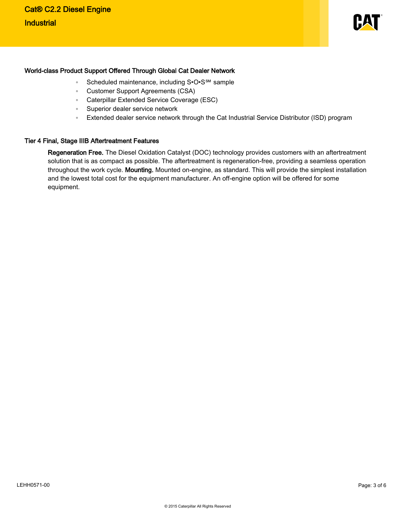

#### World-class Product Support Offered Through Global Cat Dealer Network

- Scheduled maintenance, including S•O•S<sup>SM</sup> sample
- ƕ Customer Support Agreements (CSA)
- ƕ Caterpillar Extended Service Coverage (ESC)
- Superior dealer service network
- Extended dealer service network through the Cat Industrial Service Distributor (ISD) program

#### Tier 4 Final, Stage IIIB Aftertreatment Features

Regeneration Free. The Diesel Oxidation Catalyst (DOC) technology provides customers with an aftertreatment solution that is as compact as possible. The aftertreatment is regeneration-free, providing a seamless operation throughout the work cycle. Mounting. Mounted on-engine, as standard. This will provide the simplest installation and the lowest total cost for the equipment manufacturer. An off-engine option will be offered for some equipment.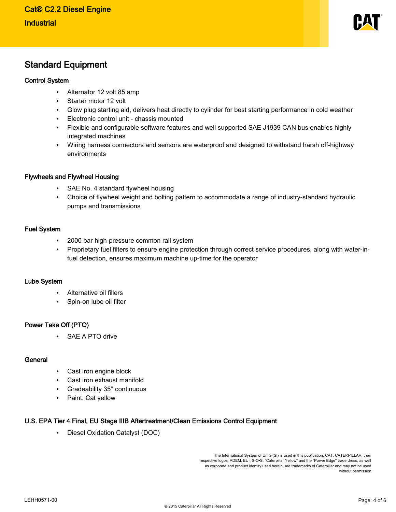

## Standard Equipment

### Control System

- Alternator 12 volt 85 amp
- Starter motor 12 volt
- Glow plug starting aid, delivers heat directly to cylinder for best starting performance in cold weather
- Electronic control unit chassis mounted
- Flexible and configurable software features and well supported SAE J1939 CAN bus enables highly integrated machines
- Wiring harness connectors and sensors are waterproof and designed to withstand harsh off-highway environments

### Flywheels and Flywheel Housing

- SAE No. 4 standard flywheel housing
- Choice of flywheel weight and bolting pattern to accommodate a range of industry-standard hydraulic pumps and transmissions

### Fuel System

- 2000 bar high-pressure common rail system
- Proprietary fuel filters to ensure engine protection through correct service procedures, along with water-infuel detection, ensures maximum machine up-time for the operator

### Lube System

- Alternative oil fillers
- Spin-on lube oil filter

### Power Take Off (PTO)

SAE A PTO drive

### **General**

- Cast iron engine block
- Cast iron exhaust manifold
- Gradeability 35° continuous
- Paint: Cat yellow

### U.S. EPA Tier 4 Final, EU Stage IIIB Aftertreatment/Clean Emissions Control Equipment

• Diesel Oxidation Catalyst (DOC)

The International System of Units (SI) is used in this publication. CAT, CATERPILLAR, their respective logos, ADEM, EUI, S•O•S, "Caterpillar Yellow" and the "Power Edge" trade dress, as well as corporate and product identity used herein, are trademarks of Caterpillar and may not be used without permission.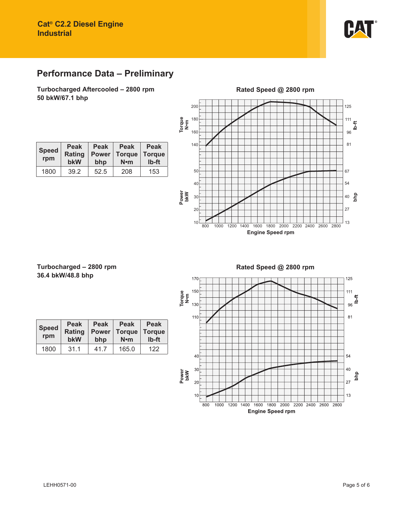

# **Performance Data – Preliminary**

**Turbocharged Aftercooled – 2800 rpm 50 bkW/67.1 bhp**

> **Peak Power bhp**

1800 39.2 52.5 208 153

**Peak Torque N•m**

**Peak Torque lb-ft**

|               |     |     |      |      |      |      |      |                         | Rated Speed @ 2800 rpm |      |      |      |     |          |
|---------------|-----|-----|------|------|------|------|------|-------------------------|------------------------|------|------|------|-----|----------|
|               | 200 |     |      |      |      |      |      |                         |                        |      |      |      | 125 |          |
| Torque<br>N•m | 180 |     |      |      |      |      |      |                         |                        |      |      |      | 111 |          |
|               | 160 |     |      |      |      |      |      |                         |                        |      |      |      | 96  | $b - ft$ |
|               | 140 |     |      |      |      |      |      |                         |                        |      |      |      | 81  |          |
|               |     |     |      |      |      |      |      |                         |                        |      |      |      |     |          |
|               | 50  |     |      |      |      |      |      |                         |                        |      |      |      | 67  |          |
|               | 40  |     |      |      |      |      |      |                         |                        |      |      |      | 54  |          |
| Power<br>bkW  | 30  |     |      |      |      |      |      |                         |                        |      |      |      | 40  | php      |
|               | 20  |     |      |      |      |      |      |                         |                        |      |      |      | 27  |          |
|               | 10  | 800 | 1000 | 1200 | 1400 | 1600 | 1800 | 2000                    | 2200                   | 2400 | 2600 | 2800 | 13  |          |
|               |     |     |      |      |      |      |      | <b>Engine Speed rpm</b> |                        |      |      |      |     |          |

### **Turbocharged – 2800 rpm 36.4 bkW/48.8 bhp**

**Speed rpm**

**Peak Rating bkW**

| <b>Speed</b><br>rpm | <b>Peak</b><br><b>Rating</b><br>bkW | <b>Peak</b><br><b>Power</b><br>bhp | <b>Peak</b><br><b>Torque</b><br>$N \cdot m$ | <b>Peak</b><br><b>Torque</b><br>Ib-ft |
|---------------------|-------------------------------------|------------------------------------|---------------------------------------------|---------------------------------------|
| 1800                | 31.1                                | 41.7                               | 165.0                                       | 122                                   |